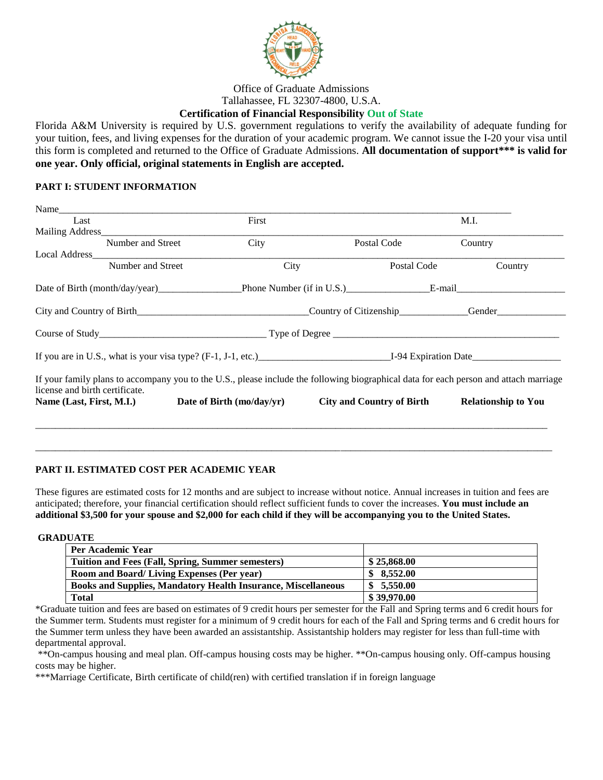

Office of Graduate Admissions Tallahassee, FL 32307-4800, U.S.A.

## **Certification of Financial Responsibility Out of State**

Florida A&M University is required by U.S. government regulations to verify the availability of adequate funding for your tuition, fees, and living expenses for the duration of your academic program. We cannot issue the I-20 your visa until this form is completed and returned to the Office of Graduate Admissions. **All documentation of support\*\*\* is valid for one year. Only official, original statements in English are accepted.**

## **PART I: STUDENT INFORMATION**

| Name                           |                                                                                                                                       |                           |                               |
|--------------------------------|---------------------------------------------------------------------------------------------------------------------------------------|---------------------------|-------------------------------|
| Last                           | First                                                                                                                                 |                           | M.I.                          |
| Mailing Address                |                                                                                                                                       |                           |                               |
| Number and Street              | City                                                                                                                                  | Postal Code               | Country                       |
| Local Address                  |                                                                                                                                       |                           |                               |
| Number and Street              | City                                                                                                                                  | Postal Code               | Country                       |
|                                |                                                                                                                                       |                           |                               |
|                                | City and Country of Birth                                                                                                             |                           | Country of Citizenship Gender |
|                                |                                                                                                                                       |                           |                               |
|                                |                                                                                                                                       |                           |                               |
| license and birth certificate. | If your family plans to accompany you to the U.S., please include the following biographical data for each person and attach marriage |                           |                               |
| Name (Last, First, M.I.)       | Date of Birth (mo/day/yr)                                                                                                             | City and Country of Birth | <b>Relationship to You</b>    |
|                                |                                                                                                                                       |                           |                               |
|                                |                                                                                                                                       |                           |                               |
|                                |                                                                                                                                       |                           |                               |

## **PART II. ESTIMATED COST PER ACADEMIC YEAR**

These figures are estimated costs for 12 months and are subject to increase without notice. Annual increases in tuition and fees are anticipated; therefore, your financial certification should reflect sufficient funds to cover the increases. **You must include an additional \$3,500 for your spouse and \$2,000 for each child if they will be accompanying you to the United States.**

\_\_\_\_\_\_\_\_\_\_\_\_\_\_\_\_\_\_\_\_\_\_\_\_\_\_\_\_\_\_\_\_\_\_\_\_\_\_\_\_\_\_\_\_\_\_\_\_\_\_\_\_\_\_\_\_\_\_\_\_\_\_\_\_\_\_\_\_\_\_\_\_\_\_\_\_\_\_\_\_\_\_\_\_\_\_\_\_\_\_\_\_\_\_\_\_\_\_\_\_\_\_\_\_\_

**GRADUATE** 

| Per Academic Year                                                    |             |
|----------------------------------------------------------------------|-------------|
| Tuition and Fees (Fall, Spring, Summer semesters)                    | \$25,868.00 |
| <b>Room and Board/Living Expenses (Per year)</b>                     | \$8.552.00  |
| <b>Books and Supplies, Mandatory Health Insurance, Miscellaneous</b> | \$5,550.00  |
| <b>Total</b>                                                         | \$39,970.00 |

\*Graduate tuition and fees are based on estimates of 9 credit hours per semester for the Fall and Spring terms and 6 credit hours for the Summer term. Students must register for a minimum of 9 credit hours for each of the Fall and Spring terms and 6 credit hours for the Summer term unless they have been awarded an assistantship. Assistantship holders may register for less than full-time with departmental approval.

\*\*On-campus housing and meal plan. Off-campus housing costs may be higher. \*\*On-campus housing only. Off-campus housing costs may be higher.

\*\*\*Marriage Certificate, Birth certificate of child(ren) with certified translation if in foreign language